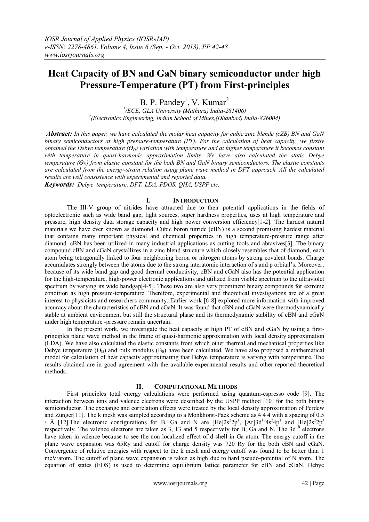# **Heat Capacity of BN and GaN binary semiconductor under high Pressure-Temperature (PT) from First-principles**

B. P. Pandey<sup>1</sup>, V. Kumar<sup>2</sup>

*1 (ECE, GLA University (Mathura) India-281406) 2 (Electronics Engineering, Indian School of Mines,(Dhanbad) India-826004)*

*Abstract: In this paper, we have calculated the molar heat capacity for cubic zinc blende (cZB) BN and GaN binary semiconductors at high pressure-temperature (PT). For the calculation of heat capacity, we firstly obtained the Debye temperature (ϴD) variation with temperature and at higher temperature it becomes constant with temperature in quasi-harmonic approximation limits. We have also calculated the static Debye temperature (ϴD) from elastic constant for the both BN and GaN binary semiconductors. The elastic constants are calculated from the energy-strain relation using plane wave method in DFT approach. All the calculated results are well consistence with experimental and reported data.* 

*Keywords: Debye temperature, DFT, LDA, PDOS, QHA, USPP etc.*

## **I. INTRODUCTION**

The III-V group of nitrides have attracted due to their potential applications in the fields of optoelectronic such as wide band gap, light sources, super hardness properties, uses at high temperature and pressure, high density data storage capacity and high power conversion efficiency[1-2]. The hardest natural materials we have ever known as diamond. Cubic boron nitride (cBN) is a second promising hardest material that contains many important physical and chemical properties in high temperature-pressure range after diamond. cBN has been utilized in many industrial applications as cutting tools and abrasives[3]. The binary compound cBN and cGaN crystallizes in a zinc blend structure which closely resembles that of diamond, each atom being tetragonally linked to four neighboring boron or nitrogen atoms by strong covalent bonds. Charge accumulates strongly between the atoms due to the strong interatomic interaction of s and p orbital's. Moreover, because of its wide band gap and good thermal conductivity, cBN and cGaN also has the potential application for the high-temperature, high-power electronic applications and utilized from visible spectrum to the ultraviolet spectrum by varying its wide bandgap[4-5]. These two are also very prominent binary compounds for extreme condition as high pressure-temperature. Therefore, experimental and theoretical investigations are of a great interest to physicists and researchers community. Earlier work [6-8] explored more information with improved accuracy about the characteristics of cBN and cGaN. It was found that cBN and cGaN were thermodynamically stable at ambient environment but still the structural phase and its thermodynamic stability of cBN and cGaN under high temperature -pressure remain uncertain.

In the present work, we investigate the heat capacity at high PT of cBN and cGaN by using a firstprinciples plane wave method in the frame of quasi-harmonic approximation with local density approximation (LDA). We have also calculated the elastic constants from which other thermal and mechanical properties like Debye temperature  $(\Theta_D)$  and bulk modulus  $(\Theta_0)$  have been calculated. We have also proposed a mathematical model for calculation of heat capacity approximating that Debye temperature is varying with temperature. The results obtained are in good agreement with the available experimental results and other reported theoretical methods.

## **II. COMPUTATIONAL METHODS**

First principles total energy calculations were performed using quantum-espresso code [9]. The interaction between ions and valence electrons were described by the USPP method [10] for the both binary semiconductor. The exchange and correlation effects were treated by the local density approximation of Perdew and Zunger[11]. The k mesh was sampled according to a Monkhorst-Pack scheme as 4 4 4 with a spacing of 0.5 *A* [12]. The electronic configurations for B, Ga and N are  $[He]2s^22p^1$ ,  $[Ar]3d^{10}4s^24p^1$  and  $[He]2s^22p^3$ respectively. The valence electrons are taken as 3, 13 and 5 respectively for B, Ga and N. The 3d<sup>10</sup> electrons have taken in valence because to see the non localized effect of d shell in Ga atom. The energy cutoff in the plane wave expansion was 65Ry and cutoff for charge density was 720 Ry for the both cBN and cGaN. Convergence of relative energies with respect to the k mesh and energy cutoff was found to be better than 1 meV/atom. The cutoff of plane wave expansion is taken as high due to hard pseudo-potential of N atom. The equation of states (EOS) is used to determine equilibrium lattice parameter for cBN and cGaN. Debye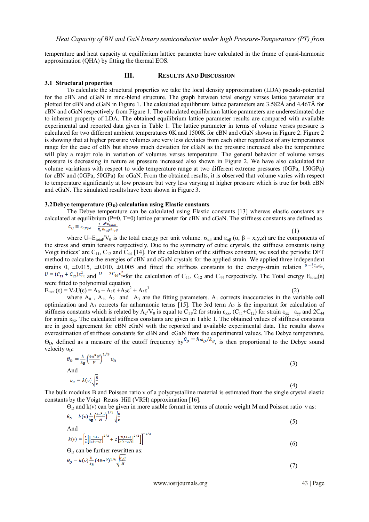temperature and heat capacity at equilibrium lattice parameter have calculated in the frame of quasi-harmonic approximation (QHA) by fitting the thermal EOS.

#### **III. RESULTS AND DISCUSSION**

#### **3.1 Structural properties**

To calculate the structural properties we take the local density approximation (LDA) pseudo-potential for the cBN and cGaN in zinc-blend structure. The graph between total energy verses lattice parameter are plotted for cBN and cGaN in Figure 1. The calculated equilibrium lattice parameters are 3.582Å and 4.467Å for cBN and cGaN respectively from Figure 1. The calculated equilibrium lattice parameters are underestimated due to inherent property of LDA. The obtained equilibrium lattice parameter results are compared with available experimental and reported data given in Table 1. The lattice parameter in terms of volume verses pressure is calculated for two different ambient temperatures 0K and 1500K for cBN and cGaN shown in Figure 2. Figure 2 is showing that at higher pressure volumes are very less deviates from each other regardless of any temperatures range for the case of cBN but shows much deviation for cGaN as the pressure increased also the temperature will play a major role in variation of volumes verses temperature. The general behavior of volume verses pressure is decreasing in nature as pressure increased also shown in Figure 2. We have also calculated the volume variations with respect to wide temperature range at two different extreme pressures (0GPa, 150GPa) for cBN and (0GPa, 50GPa) for cGaN. From the obtained results, it is observed that volume varies with respect to temperature significantly at low pressure but very less varying at higher pressure which is true for both cBN and cGaN. The simulated results have been shown in Figure 3.

#### **3.2Debye temperature**  $(\Theta_{\text{D}})$  **calculation using Elastic constants**

The Debye temperature can be calculated using Elastic constants [13] whereas elastic constants are calculated at equilibrium (P=0, T=0) lattice parameter for cBN and cGaN. The stiffness constants are defined as

$$
c_{ij} \equiv c_{\alpha\beta\gamma\delta} = \frac{c_{\alpha\beta\gamma\delta}}{v_o} \frac{1}{\partial \epsilon_{\alpha\beta} \partial \epsilon_{\gamma\delta}}
$$
 (1)

where  $U=E_{total}/V_0$  is the total energy per unit volume.  $\sigma_{\alpha\beta}$  and  $\varepsilon_{\alpha\beta}$  ( $\alpha$ ,  $\beta = x,y,z$ ) are the components of the stress and strain tensors respectively. Due to the symmetry of cubic crystals, the stiffness constants using Voigt indices' are  $C_{11}$ ,  $C_{12}$  and  $C_{44}$  [14]. For the calculation of the stiffness constant, we used the periodic DFT method to calculate the energies of cBN and cGaN crystals for the applied strain. We applied three independent strains 0,  $\pm 0.015$ ,  $\pm 0.010$ ,  $\pm 0.005$  and fitted the stiffness constants to the energy-strain relation  $v = \frac{1}{2}c_{11}c_{xx}^2$ ,  $u = (c_{11} + c_{12})\epsilon_{xx}^2$  and  $v = 2c_{44}\epsilon_{yz}^2$  for the calculation of  $C_{11}$ ,  $C_{12}$  and  $C_{44}$  respectively. The Total energy  $E_{total}(\epsilon)$ were fitted to polynomial equation  $E_{\text{total}}(\varepsilon) = V_0 \overline{U}(\varepsilon) = A_0 + A_1 \varepsilon + A_2 \varepsilon^2 + A_3 \varepsilon^3$ (2)

where  $A_0$ ,  $A_1$ ,  $A_2$  and  $A_3$  are the fitting parameters.  $A_1$  corrects inaccuracies in the variable cell optimization and  $A_3$  corrects for anharmonic terms [15]. The 3rd term  $A_2$  is the important for calculation of stiffness constants which is related by  $A_2/V_0$  is equal to  $C_{11}/2$  for strain  $\varepsilon_{xx}$ ,  $(C_{11}+C_{12})$  for strain  $\varepsilon_{xx} = \varepsilon_{yy}$  and  $2C_{44}$ for strain  $\varepsilon_{vz}$ . The calculated stiffness constants are given in Table 1. The obtained values of stiffness constants are in good agreement for cBN cGaN with the reported and available experimental data. The results shows overestimation of stiffness constants for cBN and cGaN from the experimental values. The Debye temperature,  $\Theta_{D}$ , defined as a measure of the cutoff frequency by  $\theta_{D} = \hbar \omega_{D} / k_{B}$ , is then proportional to the Debye sound velocity  $v<sub>D</sub>$ :

$$
\theta_D = \frac{\hbar}{k_B} \left(\frac{6\pi^2 N}{V}\right)^{1/3} v_D
$$
\nAnd\n
$$
v_D = k(v) \sqrt{\frac{B}{\rho}}
$$
\n(3)

The bulk modulus B and Poisson ratio ν of a polycrystalline material is estimated from the single crystal elastic constants by the Voigt–Reuss–Hill (VRH) approximation [16].

 $\Theta_{\text{D}}$  and k(v) can be given in more usable format in terms of atomic weight M and Poisson ratio v as:

$$
\theta_D = k(\nu) \frac{\mu}{k_B} \left( \frac{\omega \mu}{M} \right) \sqrt{\frac{2}{\rho}} \tag{5}
$$
  
And  

$$
k(\nu) = \left[ \frac{1}{2} \left[ \left[ \frac{1 + \nu}{\mu} \right]^{3/2} + 2 \left[ \frac{2(1 + \nu)}{\mu} \right]^{3/2} \right] \right]^{-1/3}
$$

$$
k(v) = \left[ \frac{1}{3} \left[ \left[ \frac{1+v}{3(1-v)} \right]^{3/2} + 2 \left[ \frac{2(1+v)}{3(1-2v)} \right]^{3/2} \right] \right]^{1/2}
$$
(6)

 $\Theta_{\rm D}$  can be further rewritten as:

$$
\theta_D = k(\nu) \frac{\hbar}{k_B} (48\pi^5)^{1/6} \sqrt{\frac{r_0 B}{M}}
$$
\n
$$
\tag{7}
$$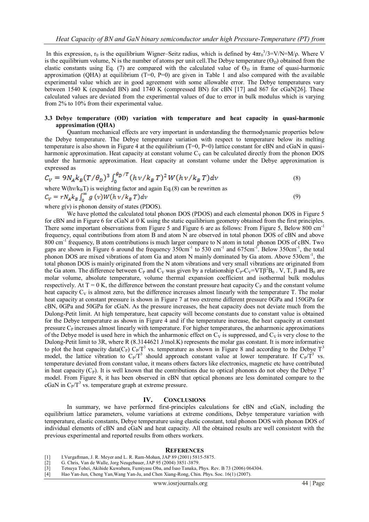In this expression,  $r_0$  is the equilibrium Wigner–Seitz radius, which is defined by  $4\pi r_0^3/3=V/N=M/\rho$ . Where V is the equilibrium volume, N is the number of atoms per unit cell. The Debye temperature  $(\Theta_D)$  obtained from the elastic constants using Eq. (7) are compared with the calculated value of  $\Theta_{\rm D}$  in frame of quasi-harmonic approximation (QHA) at equilibrium (T=0, P=0) are given in Table 1 and also compared with the available experimental value which are in good agreement with some allowable error. The Debye temperatures vary between 1540 K (expanded BN) and 1740 K (compressed BN) for cBN [17] and 867 for cGaN[26]. These calculated values are deviated from the experimental values of due to error in bulk modulus which is varying from 2% to 10% from their experimental value.

### **3.3 Debye temperature (ϴD) variation with temperature and heat capacity in quasi-harmonic approximation (QHA)**

Quantum mechanical effects are very important in understanding the thermodynamic properties below the Debye temperature. The Debye temperature variation with respect to temperature below its melting temperature is also shown in Figure 4 at the equilibrium  $(T=0, P=0)$  lattice constant for cBN and cGaN in quasiharmonic approximation. Heat capacity at constant volume  $C_V$  can be calculated directly from the phonon DOS under the harmonic approximation. Heat capacity at constant volume under the Debye approximation is expressed as

$$
C_V = 9N_A k_B (T/\theta_D)^3 \int_0^{\theta_D/T} (h\nu/k_B T)^2 W (h\nu/k_B T) dv \tag{8}
$$

where W(hv/k<sub>B</sub>T) is weighting factor and again Eq.(8) can be rewritten as  $C_V = rN_A k_B \int_0^\infty g(v)W(hv/k_B T)dv$ (9)

where  $g(v)$  is phonon density of states (PDOS).

We have plotted the calculated total phonon DOS (PDOS) and each elemental phonon DOS in Figure 5 for cBN and in Figure 6 for cGaN at 0 K using the static equilibrium geometry obtained from the first principles. There some important observations from Figure 5 and Figure 6 are as follows: From Figure 5, Below 800 cm<sup>-1</sup> frequency, equal contributions from atom B and atom N are observed in total phonon DOS of cBN and above 800 cm<sup>-1</sup> frequency, B atom contributions is much larger compare to N atom in total phonon DOS of cBN. Two gaps are shown in Figure 6 around the frequency  $350 \text{cm}^{-1}$  to  $530 \text{cm}^{-1}$  and  $675 \text{cm}^{-1}$ . Below  $350 \text{cm}^{-1}$ , the total phonon DOS are mixed vibrations of atom Ga and atom N mainly dominated by Ga atom. Above 530cm<sup>-1</sup>, the total phonon DOS is mainly originated from the N atom vibrations and very small vibrations are originated from the Ga atom. The difference between C<sub>P</sub> and C<sub>V</sub> was given by a relationship C<sub>P</sub>-C<sub>V</sub>=VT $\beta^2B_0$ . V, T,  $\beta$  and  $B_0$  are molar volume, absolute temperature, volume thermal expansion coefficient and isothermal bulk modulus respectively. At  $T = 0$  K, the difference between the constant pressure heat capacity  $C_P$  and the constant volume heat capacity  $C_V$  is almost zero, but the difference increases almost linearly with the temperature T. The molar heat capacity at constant pressure is shown in Figure 7 at two extreme different pressure 0GPa and 150GPa for cBN, 0GPa and 50GPa for cGaN. As the pressure increases, the heat capacity does not deviate much from the Dulong-Petit limit. At high temperature, heat capacity will become constants due to constant value is obtained for the Debye temperature as shown in Figure 4 and if the temperature increase, the heat capacity at constant pressure  $C_{P}$  increases almost linearly with temperature. For higher temperatures, the anharmonic approximations of the Debye model is used here in which the anharmonic effect on  $C_V$  is suppressed, and  $C_V$  is very close to the Dulong-Petit limit to 3R, where R (8.3144621 J/mol.K) represents the molar gas constant. It is more informative to plot the heat capacity data(C<sub>P</sub>)  $C_P/T^3$  vs. temperature as shown in Figure 8 and according to the Debye  $T^3$ model, the lattice vibration to  $C_P/T^3$  should approach constant value at lower temperature. If  $C_P/T^3$  vs. temperature deviated from constant value, it means others factors like electronics, magnetic etc have contributed in heat capacity  $(C_P)$ . It is well known that the contributions due to optical phonons do not obey the Debye  $T<sup>3</sup>$ model. From Figure 8, it has been observed in cBN that optical phonons are less dominated compare to the cGaN in  $C_P/T^3$  vs. temperature graph at extreme pressure.

#### **IV. CONCLUSIONS**

In summary, we have performed first-principles calculations for cBN and cGaN, including the equilibrium lattice parameters, volume variations at extreme conditions, Debye temperature variation with temperature, elastic constants, Debye temperature using elastic constant, total phonon DOS with phonon DOS of individual elements of cBN and cGaN and heat capacity. All the obtained results are well consistent with the previous experimental and reported results from others workers.

#### **REFERENCES**

- [1] I.Vurgaftman, J. R. Meyer and L. R. Ram-Mohan, JAP 89 (2001) 5815-5875.
- [2] G. Chris, Van de Walle, Jorg Neugebauer, JAP 95 (2004) 3851-3879.<br>[3] Tetsuya Tohei, Akihide Kuwabara, Fumiyasu Oba, and Isao Tanaka,
- [3] Tetsuya Tohei, Akihide Kuwabara, Fumiyasu Oba, and Isao Tanaka, Phys. Rev. B 73 (2006) 064304.
- [4] Hao Yan-Jun, Cheng Yan,Wang Yan-Ju, and Chen Xiang-Rong, Chin. Phys. Soc. 16(1) (2007).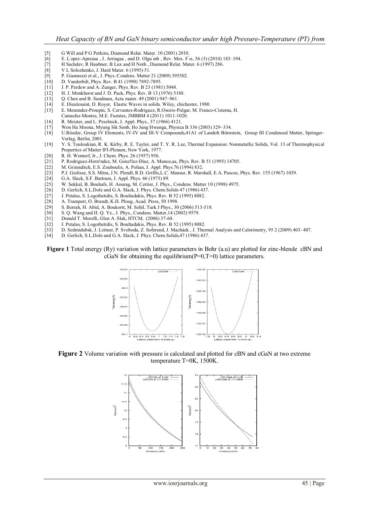- [5] G Will and P G Perkins, Diamond Relat. Mater. 10 (2001) 2010.
- [6] E. L *opez* -Aprezaa , J. Arriagaa , and D. Olgu *inb* , Rev. Mex. F *is*, 56 (3) (2010) 183–194.<br>[7] H Sachdev, R Haubner, B Lux and H Noth , Diamond Relat. Mater. 6 (1997) 286.
- H Sachdev, R Haubner, B Lux and H Noth , Diamond Relat. Mater. 6 (1997) 286.
- [8] V L Solozhenko, J. Hard Mater. 6 (1995) 51.
- [9] P. Giannozzi et al., J. Phys.:Condens. Matter 21 (2009) 395502.<br>[10] D. Vanderbilt, Phys. Rev. B 41 (1990) 7892-7895.
- D. Vanderbilt, Phys. Rev. B 41 (1990) 7892-7895.
- [11] J. P. Perdew and A. Zunger, Phys. Rev. B 23 (1981) 5048.
- [12] H. J. Monkhorst and J. D. Pack, Phys. Rev. B 13 (1976) 5188.
- [13] Q. Chen and B. Sundman, Acta mater. 49 (2001) 947–961.
- [14] E. Dieulesaint, D. Royer, Elastic Waves in solids. Wiley, chichester, 1980.
- [15] E. Menendez-Proupin, S. Cervantes-Rodriguez, R.Osorio-Pulgar, M. Franco-Cisterna, H.
- Camacho-Montes, M.E. Fuentes, JMBBM 4 (2011) 1011-1020.
- [16] R. Meister, and L. Peselnick, J. Appl. Phys., 37 (1966) 4121.
- [17] Won Ha Moona, Myung Sik Sonb, Ho Jung Hwanga, Physica B 336 (2003) 329–334.
- U.Rössler, Group IV Elements, IV-IV and III-V Compounds,41A1 of Landolt Börnstein, Group III Condensed Matter, Springer-Verlag, Berlin, 2001.
- [19] Y. S. Touloukian, R. K. Kirby, R. E. Taylor, and T. Y. R. Lee, Thermal Expansion: Nonmetallic Solids, Vol. 13 of Thermophysical Properties of Matter IFI-Plenum, New York, 1977.
- [20] R. H. Wentorf, Jr., J. Chem. Phys. 26 (1957) 956.
- [21] P. Rodriguez-Hern!ndez, M. Gonz!lez-Diaz, A. Munoz,aa, Phys. Rev. B 51 (1995) 14705.
- M. Grimsditch, E.S. Zouboulis, A. Polian, J. Appl. Phys.76 (1994) 832.
- [23] P.J. Gielisse, S.S. Mitra, J.N. Plendl, R.D. Griffis,L.C. Mansur, R. Marshall, E.A. Pascoe, Phys. Rev. 155 (1967) 1039.
- [24] G.A. Slack, S.F. Bartram, J. Appl. Phys. 46 (1975) 89.
- [25] W. Sekkal, B. Bouhafs, H. Aourag, M. Certier, J. Phys., Condens. Matter 10 (1998) 4975.<br>[26] D. Gerlich, S.L.Dole and G.A. Slack, J. Phys. Chem.Solids 47 (1986) 437.
- D. Gerlich, S.L.Dole and G.A. Slack, J. Phys. Chem.Solids 47 (1986) 437.
- [27] J. Petalas, S. Logothetidis, S. Boultadakis, Phys. Rev. B 52 (1995) 8082.
- [28] A. Trampert, O. Brandt, K.H. Ploog, Acad. Press, 50 1998.
- $[29]$  S. Berrah, H. Abid, A. Boukortt, M. Sehil, Turk J Phys., 30 (2006) 513-518.<br>
[30] S. O. Wang and H. O. Ye., J. Phys., Condens, Matter 14 (2002) 9579.
- [30] S. Q. Wang and H. Q. Ye., J. Phys., Condens. Matter,14 (2002) 9579.
- [31] Donald T. Morelli, Glen A. Slak, HTCM, (2006) 37-68.
- [32] J. Petalas, S. Logothetidis, S. Boultadakis, Phys. Rev. B 52 (1995) 8082.
- [33] D. Sedmidubsk, J. Leitner, P. Svoboda, Z. Soferand, J. Macháek , J. Thermal Analysis and Calorimetry, 95 2 (2009) 403–407.<br>[34] D. Gerlich S. L. Dole and G. A. Slack J. Phys. Chem Solids 47 (1986) 437
- D. Gerlich, S.L.Dole and G.A. Slack, J. Phys. Chem.Solids, 47 (1986) 437.

#### **Figure 1** Total energy (Ry) variation with lattice parameters in Bohr (a.u) are plotted for zinc-blende cBN and cGaN for obtaining the equilibrium( $P=0$ , $T=0$ ) lattice parameters.



**Figure 2** Volume variation with pressure is calculated and plotted for cBN and cGaN at two extreme temperature T=0K, 1500K.

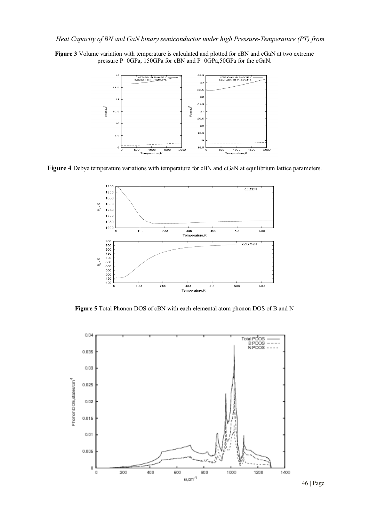



**Figure 4** Debye temperature variations with temperature for cBN and cGaN at equilibrium lattice parameters.



**Figure 5** Total Phonon DOS of cBN with each elemental atom phonon DOS of B and N

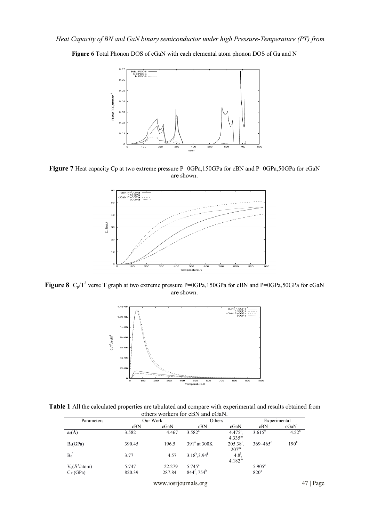



**Figure 7** Heat capacity Cp at two extreme pressure P=0GPa,150GPa for cBN and P=0GPa,50GPa for cGaN are shown.



**Figure 8**  $C_p/T^3$  verse T graph at two extreme pressure P=0GPa,150GPa for cBN and P=0GPa,50GPa for cGaN are shown.



**Table 1** All the calculated properties are tabulated and compare with experimental and results obtained from others workers for cBN and cGaN.

| Parameters                      | Our Work |        | Others                           |                                      | Experimental     |                  |
|---------------------------------|----------|--------|----------------------------------|--------------------------------------|------------------|------------------|
|                                 | cBN      | cGaN   | cBN                              | cGaN                                 | cBN              | cGaN             |
| $a_0(A)$                        | 3.582    | 4.467  | $3.582^{a}$                      | $4.4751$ ,<br>$4.335^{\rm m}$        | $3.615^{\circ}$  | $4.52^{k}$       |
| $B_0(GPa)$                      | 390.45   | 196.5  | 391 <sup>ª</sup> at 300K         | 205.38 <sup>1</sup><br>$207^{\rm m}$ | $369 - 465$ °    | 190 <sup>k</sup> |
| $B_0$                           | 3.77     | 4.57   | $3.18^{\rm b}$ , $3.94^{\rm j}$  | $4.8^{1}$<br>4.182 <sup>m</sup>      |                  |                  |
| $V_0(\text{\AA}^3/\text{atom})$ | 5.747    | 22.279 | $5.745^{\circ}$                  |                                      | $5.905^{\circ}$  |                  |
| $C_{11}(GPa)$                   | 820.39   | 287.84 | $844^{\rm f}$ , 754 <sup>b</sup> |                                      | 820 <sup>g</sup> |                  |

www.iosrjournals.org 47 | Page